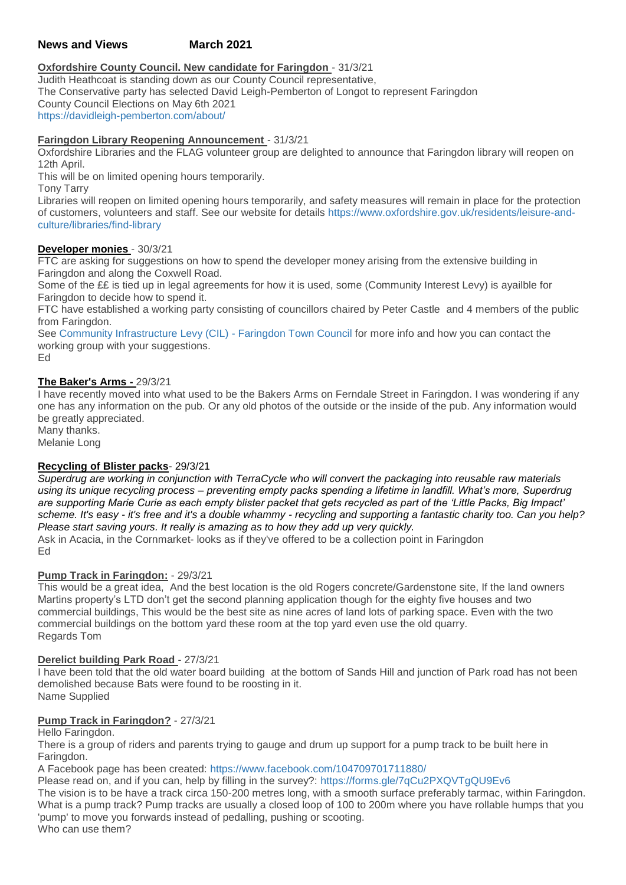# **News and Views March 2021**

# **Oxfordshire County Council. New candidate for Faringdon** - 31/3/21

Judith Heathcoat is standing down as our County Council representative, The Conservative party has selected David Leigh-Pemberton of Longot to represent Faringdon County Council Elections on May 6th 2021 <https://davidleigh-pemberton.com/about/>

# **Faringdon Library Reopening Announcement** - 31/3/21

Oxfordshire Libraries and the FLAG volunteer group are delighted to announce that Faringdon library will reopen on 12th April.

This will be on limited opening hours temporarily.

Tony Tarry

Libraries will reopen on limited opening hours temporarily, and safety measures will remain in place for the protection of customers, volunteers and staff. See our website for details [https://www.oxfordshire.gov.uk/residents/leisure-and](https://www.oxfordshire.gov.uk/residents/leisure-and-culture/libraries/find-library)[culture/libraries/find-library](https://www.oxfordshire.gov.uk/residents/leisure-and-culture/libraries/find-library)

### **Developer monies** - 30/3/21

FTC are asking for suggestions on how to spend the developer money arising from the extensive building in Faringdon and along the Coxwell Road.

Some of the ££ is tied up in legal agreements for how it is used, some (Community Interest Levy) is ayailble for Faringdon to decide how to spend it.

FTC have established a working party consisting of councillors chaired by Peter Castle and 4 members of the public from Faringdon.

See [Community Infrastructure Levy \(CIL\) -](https://www.faringdontowncouncil.gov.uk/community-infrastructure-levy-cil/) Faringdon Town Council for more info and how you can contact the working group with your suggestions.

Ed

### **The Baker's Arms -** 29/3/21

I have recently moved into what used to be the Bakers Arms on Ferndale Street in Faringdon. I was wondering if any one has any information on the pub. Or any old photos of the outside or the inside of the pub. Any information would be greatly appreciated.

Many thanks. Melanie Long

# **Recycling of Blister packs**- 29/3/21

*Superdrug are working in conjunction with TerraCycle who will convert the packaging into reusable raw materials using its unique recycling process – preventing empty packs spending a lifetime in landfill. What's more, Superdrug are supporting Marie Curie as each empty blister packet that gets recycled as part of the 'Little Packs, Big Impact' scheme. It's easy - it's free and it's a double whammy - recycling and supporting a fantastic charity too. Can you help? Please start saving yours. It really is amazing as to how they add up very quickly.* Ask in Acacia, in the Cornmarket- looks as if they've offered to be a collection point in Faringdon

Ed

### **Pump Track in Faringdon:** - 29/3/21

This would be a great idea, And the best location is the old Rogers concrete/Gardenstone site, If the land owners Martins property's LTD don't get the second planning application though for the eighty five houses and two commercial buildings, This would be the best site as nine acres of land lots of parking space. Even with the two commercial buildings on the bottom yard these room at the top yard even use the old quarry. Regards Tom

### **Derelict building Park Road** - 27/3/21

I have been told that the old water board building at the bottom of Sands Hill and junction of Park road has not been demolished because Bats were found to be roosting in it. Name Supplied

# **Pump Track in Faringdon?** - 27/3/21

Hello Faringdon.

There is a group of riders and parents trying to gauge and drum up support for a pump track to be built here in Faringdon.

A Facebook page has been created: <https://www.facebook.com/104709701711880/>

Please read on, and if you can, help by filling in the survey?: <https://forms.gle/7qCu2PXQVTgQU9Ev6>

The vision is to be have a track circa 150-200 metres long, with a smooth surface preferably tarmac, within Faringdon. What is a pump track? Pump tracks are usually a closed loop of 100 to 200m where you have rollable humps that you 'pump' to move you forwards instead of pedalling, pushing or scooting. Who can use them?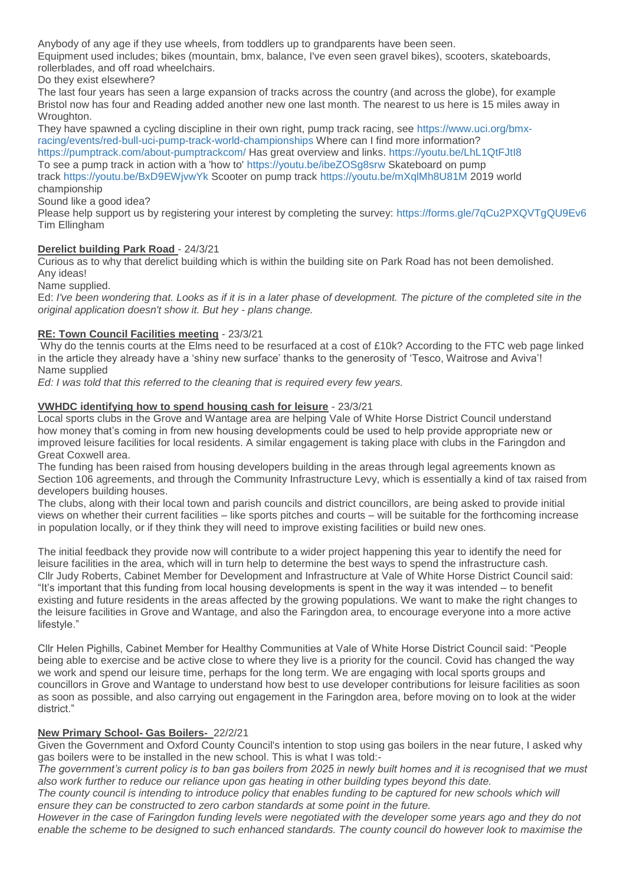Anybody of any age if they use wheels, from toddlers up to grandparents have been seen.

Equipment used includes; bikes (mountain, bmx, balance, I've even seen gravel bikes), scooters, skateboards, rollerblades, and off road wheelchairs.

Do they exist elsewhere?

The last four years has seen a large expansion of tracks across the country (and across the globe), for example Bristol now has four and Reading added another new one last month. The nearest to us here is 15 miles away in Wroughton.

They have spawned a cycling discipline in their own right, pump track racing, see [https://www.uci.org/bmx](https://www.uci.org/bmx-racing/events/red-bull-uci-pump-track-world-championships)[racing/events/red-bull-uci-pump-track-world-championships](https://www.uci.org/bmx-racing/events/red-bull-uci-pump-track-world-championships) Where can I find more information? <https://pumptrack.com/about-pumptrackcom/> Has great overview and links. <https://youtu.be/LhL1QtFJtI8> To see a pump track in action with a 'how to' <https://youtu.be/ibeZOSg8srw> Skateboard on pump

track <https://youtu.be/BxD9EWjvwYk> Scooter on pump track <https://youtu.be/mXqlMh8U81M> 2019 world championship

Sound like a good idea?

Please help support us by registering your interest by completing the survey: <https://forms.gle/7qCu2PXQVTgQU9Ev6> Tim Ellingham

### **Derelict building Park Road** - 24/3/21

Curious as to why that derelict building which is within the building site on Park Road has not been demolished. Any ideas!

Name supplied.

Ed: *I've been wondering that. Looks as if it is in a later phase of development. The picture of the completed site in the original application doesn't show it. But hey - plans change.*

### **RE: Town Council Facilities meeting** - 23/3/21

Why do the tennis courts at the Elms need to be resurfaced at a cost of £10k? According to the FTC web page linked in the article they already have a 'shiny new surface' thanks to the generosity of 'Tesco, Waitrose and Aviva'! Name supplied

*Ed: I was told that this referred to the cleaning that is required every few years.*

### **VWHDC identifying how to spend housing cash for leisure** - 23/3/21

Local sports clubs in the Grove and Wantage area are helping Vale of White Horse District Council understand how money that's coming in from new housing developments could be used to help provide appropriate new or improved leisure facilities for local residents. A similar engagement is taking place with clubs in the Faringdon and Great Coxwell area.

The funding has been raised from housing developers building in the areas through legal agreements known as Section 106 agreements, and through the Community Infrastructure Levy, which is essentially a kind of tax raised from developers building houses.

The clubs, along with their local town and parish councils and district councillors, are being asked to provide initial views on whether their current facilities – like sports pitches and courts – will be suitable for the forthcoming increase in population locally, or if they think they will need to improve existing facilities or build new ones.

The initial feedback they provide now will contribute to a wider project happening this year to identify the need for leisure facilities in the area, which will in turn help to determine the best ways to spend the infrastructure cash. Cllr Judy Roberts, Cabinet Member for Development and Infrastructure at Vale of White Horse District Council said: "It's important that this funding from local housing developments is spent in the way it was intended – to benefit existing and future residents in the areas affected by the growing populations. We want to make the right changes to the leisure facilities in Grove and Wantage, and also the Faringdon area, to encourage everyone into a more active lifestyle."

Cllr Helen Pighills, Cabinet Member for Healthy Communities at Vale of White Horse District Council said: "People being able to exercise and be active close to where they live is a priority for the council. Covid has changed the way we work and spend our leisure time, perhaps for the long term. We are engaging with local sports groups and councillors in Grove and Wantage to understand how best to use developer contributions for leisure facilities as soon as soon as possible, and also carrying out engagement in the Faringdon area, before moving on to look at the wider district."

### **New Primary School- Gas Boilers-** 22/2/21

Given the Government and Oxford County Council's intention to stop using gas boilers in the near future, I asked why gas boilers were to be installed in the new school. This is what I was told:-

*The government's current policy is to ban gas boilers from 2025 in newly built homes and it is recognised that we must also work further to reduce our reliance upon gas heating in other building types beyond this date.*

The county council is intending to introduce policy that enables funding to be captured for new schools which will *ensure they can be constructed to zero carbon standards at some point in the future.*

*However in the case of Faringdon funding levels were negotiated with the developer some years ago and they do not enable the scheme to be designed to such enhanced standards. The county council do however look to maximise the*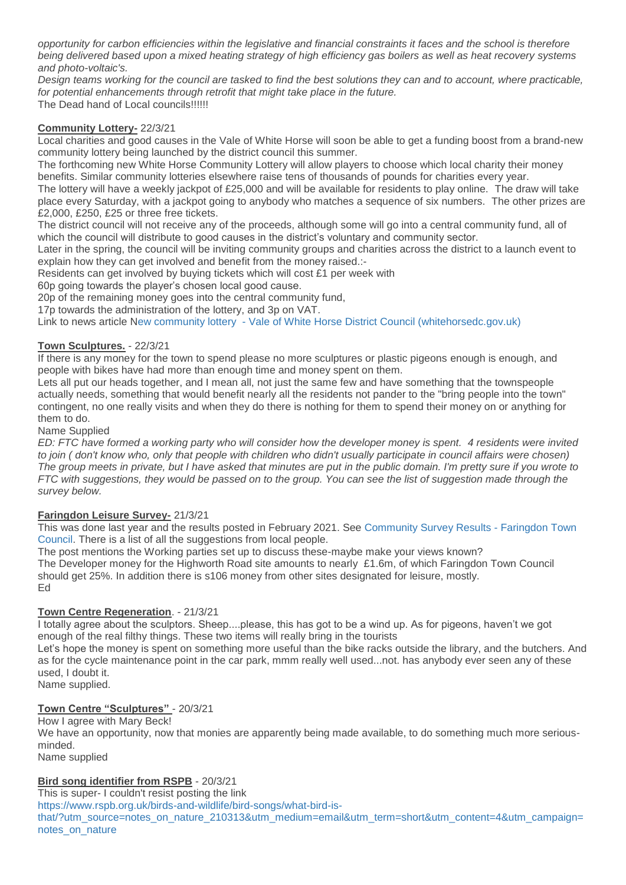*opportunity for carbon efficiencies within the legislative and financial constraints it faces and the school is therefore being delivered based upon a mixed heating strategy of high efficiency gas boilers as well as heat recovery systems and photo-voltaic's.*

*Design teams working for the council are tasked to find the best solutions they can and to account, where practicable, for potential enhancements through retrofit that might take place in the future.*

The Dead hand of Local councils!!!!!!

### **Community Lottery-** 22/3/21

Local charities and good causes in the Vale of White Horse will soon be able to get a funding boost from a brand-new community lottery being launched by the district council this summer.

The forthcoming new White Horse Community Lottery will allow players to choose which local charity their money benefits. Similar community lotteries elsewhere raise tens of thousands of pounds for charities every year.

The lottery will have a weekly jackpot of £25,000 and will be available for residents to play online. The draw will take place every Saturday, with a jackpot going to anybody who matches a sequence of six numbers. The other prizes are £2,000, £250, £25 or three free tickets.

The district council will not receive any of the proceeds, although some will go into a central community fund, all of which the council will distribute to good causes in the district's voluntary and community sector.

Later in the spring, the council will be inviting community groups and charities across the district to a launch event to explain how they can get involved and benefit from the money raised.:-

Residents can get involved by buying tickets which will cost £1 per week with

60p going towards the player's chosen local good cause.

20p of the remaining money goes into the central community fund,

17p towards the administration of the lottery, and 3p on VAT.

Link to news article New community lottery - [Vale of White Horse District Council \(whitehorsedc.gov.uk\)](https://www.whitehorsedc.gov.uk/vale-of-white-horse-district-council/a-new-community-lottery-is-coming-to-the-vale-of-white-horse/?fbclid=IwAR3IM0t9xHkPlpgj9BSGnDrXRXdwF_vxihFdYivlq_JvRj80hQBydFXzTds)

### **Town Sculptures.** - 22/3/21

If there is any money for the town to spend please no more sculptures or plastic pigeons enough is enough, and people with bikes have had more than enough time and money spent on them.

Lets all put our heads together, and I mean all, not just the same few and have something that the townspeople actually needs, something that would benefit nearly all the residents not pander to the "bring people into the town" contingent, no one really visits and when they do there is nothing for them to spend their money on or anything for them to do.

#### Name Supplied

*ED: FTC have formed a working party who will consider how the developer money is spent. 4 residents were invited*  to join ( don't know who, only that people with children who didn't usually participate in council affairs were chosen) *The group meets in private, but I have asked that minutes are put in the public domain. I'm pretty sure if you wrote to FTC with suggestions, they would be passed on to the group. You can see the list of suggestion made through the survey below.*

### **Faringdon Leisure Survey-** 21/3/21

This was done last year and the results posted in February 2021. See [Community Survey Results -](https://www.faringdontowncouncil.gov.uk/community-survey-results/) Faringdon Town [Council.](https://www.faringdontowncouncil.gov.uk/community-survey-results/) There is a list of all the suggestions from local people.

The post mentions the Working parties set up to discuss these-maybe make your views known? The Developer money for the Highworth Road site amounts to nearly £1.6m, of which Faringdon Town Council should get 25%. In addition there is s106 money from other sites designated for leisure, mostly. Ed

### **Town Centre Regeneration**. - 21/3/21

I totally agree about the sculptors. Sheep....please, this has got to be a wind up. As for pigeons, haven't we got enough of the real filthy things. These two items will really bring in the tourists

Let's hope the money is spent on something more useful than the bike racks outside the library, and the butchers. And as for the cycle maintenance point in the car park, mmm really well used...not. has anybody ever seen any of these used, I doubt it. Name supplied.

### **Town Centre "Sculptures"** - 20/3/21

How I agree with Mary Beck! We have an opportunity, now that monies are apparently being made available, to do something much more seriousminded. Name supplied

### **Bird song identifier from RSPB** - 20/3/21

This is super- I couldn't resist posting the link

[https://www.rspb.org.uk/birds-and-wildlife/bird-songs/what-bird-is-](https://www.rspb.org.uk/birds-and-wildlife/bird-songs/what-bird-is-that/?utm_source=notes_on_nature_210313&utm_medium=email&utm_term=short&utm_content=4&utm_campaign=notes_on_nature)

[that/?utm\\_source=notes\\_on\\_nature\\_210313&utm\\_medium=email&utm\\_term=short&utm\\_content=4&utm\\_campaign=](https://www.rspb.org.uk/birds-and-wildlife/bird-songs/what-bird-is-that/?utm_source=notes_on_nature_210313&utm_medium=email&utm_term=short&utm_content=4&utm_campaign=notes_on_nature) [notes\\_on\\_nature](https://www.rspb.org.uk/birds-and-wildlife/bird-songs/what-bird-is-that/?utm_source=notes_on_nature_210313&utm_medium=email&utm_term=short&utm_content=4&utm_campaign=notes_on_nature)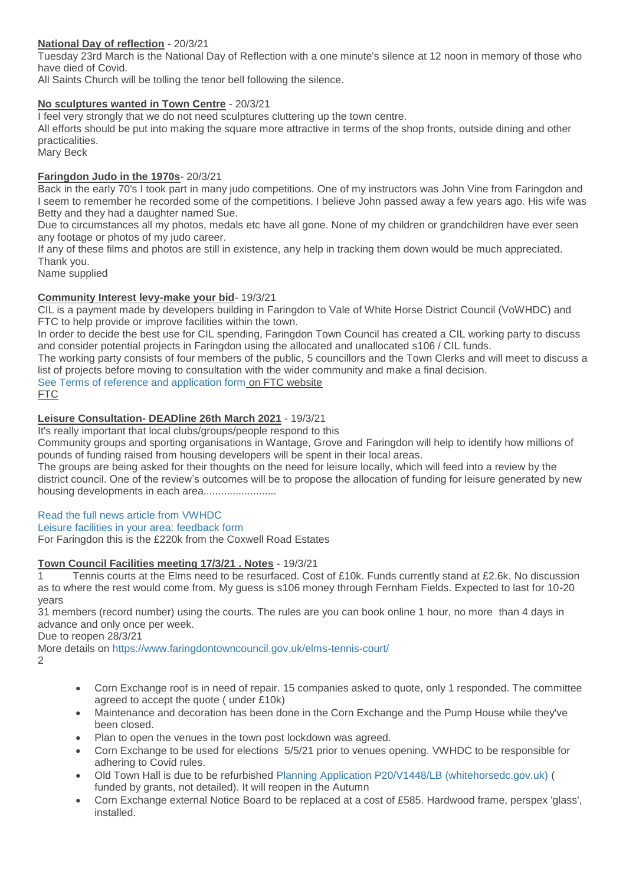## **National Day of reflection** - 20/3/21

Tuesday 23rd March is the National Day of Reflection with a one minute's silence at 12 noon in memory of those who have died of Covid.

All Saints Church will be tolling the tenor bell following the silence.

#### **No sculptures wanted in Town Centre** - 20/3/21

I feel very strongly that we do not need sculptures cluttering up the town centre.

All efforts should be put into making the square more attractive in terms of the shop fronts, outside dining and other practicalities.

Mary Beck

#### **Faringdon Judo in the 1970s**- 20/3/21

Back in the early 70's I took part in many judo competitions. One of my instructors was John Vine from Faringdon and I seem to remember he recorded some of the competitions. I believe John passed away a few years ago. His wife was Betty and they had a daughter named Sue.

Due to circumstances all my photos, medals etc have all gone. None of my children or grandchildren have ever seen any footage or photos of my judo career.

If any of these films and photos are still in existence, any help in tracking them down would be much appreciated. Thank you.

Name supplied

### **Community Interest levy-make your bid**- 19/3/21

CIL is a payment made by developers building in Faringdon to Vale of White Horse District Council (VoWHDC) and FTC to help provide or improve facilities within the town.

In order to decide the best use for CIL spending, Faringdon Town Council has created a CIL working party to discuss and consider potential projects in Faringdon using the allocated and unallocated s106 / CIL funds.

The working party consists of four members of the public, 5 councillors and the Town Clerks and will meet to discuss a list of projects before moving to consultation with the wider community and make a final decision.

[See Terms of reference and application form](https://www.faringdontowncouncil.gov.uk/cil-working-party/) on FTC website

FTC

### **Leisure Consultation- DEADline 26th March 2021** - 19/3/21

It's really important that local clubs/groups/people respond to this

Community groups and sporting organisations in Wantage, Grove and Faringdon will help to identify how millions of pounds of funding raised from housing developers will be spent in their local areas.

The groups are being asked for their thoughts on the need for leisure locally, which will feed into a review by the district council. One of the review's outcomes will be to propose the allocation of funding for leisure generated by new housing developments in each area.........................

### [Read the full news article from VWHDC](https://www.whitehorsedc.gov.uk/leisure/community-engagement-will-identify-how-to-prioritise-leisure-funding-into-wantage-grove-and-faringdon/)

[Leisure facilities in your area: feedback form](https://survey.southandvale.gov.uk/s/ValeLeisureFeedbackForm/)

For Faringdon this is the £220k from the Coxwell Road Estates

### **Town Council Facilities meeting 17/3/21 . Notes** - 19/3/21

1 Tennis courts at the Elms need to be resurfaced. Cost of £10k. Funds currently stand at £2.6k. No discussion as to where the rest would come from. My guess is s106 money through Fernham Fields. Expected to last for 10-20 years

31 members (record number) using the courts. The rules are you can book online 1 hour, no more than 4 days in advance and only once per week.

Due to reopen 28/3/21

More details on <https://www.faringdontowncouncil.gov.uk/elms-tennis-court/> 2

- Corn Exchange roof is in need of repair. 15 companies asked to quote, only 1 responded. The committee agreed to accept the quote ( under £10k)
- Maintenance and decoration has been done in the Corn Exchange and the Pump House while they've been closed.
- Plan to open the venues in the town post lockdown was agreed.
- Corn Exchange to be used for elections 5/5/21 prior to venues opening. VWHDC to be responsible for adhering to Covid rules.
- Old Town Hall is due to be refurbished [Planning Application P20/V1448/LB \(whitehorsedc.gov.uk\)](https://data.whitehorsedc.gov.uk/java/support/Main.jsp?MODULE=ApplicationDetails&REF=P20/V1448/LB#exactline) ( funded by grants, not detailed). It will reopen in the Autumn
- Corn Exchange external Notice Board to be replaced at a cost of £585. Hardwood frame, perspex 'glass', installed.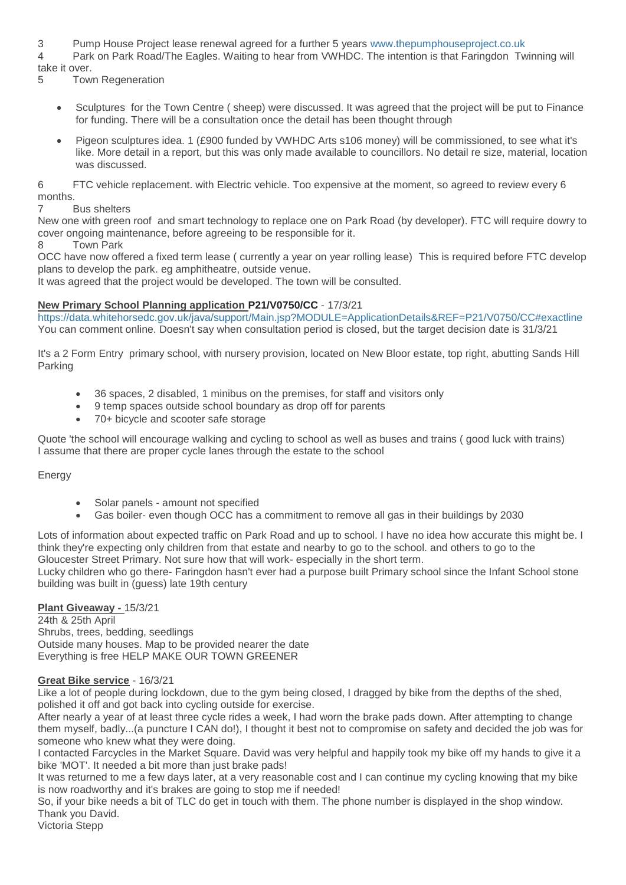3 Pump House Project lease renewal agreed for a further 5 years [www.thepumphouseproject.co.uk](https://www.thepumphouseproject.co.uk/)

4 Park on Park Road/The Eagles. Waiting to hear from VWHDC. The intention is that Faringdon Twinning will take it over.

5 Town Regeneration

- Sculptures for the Town Centre ( sheep) were discussed. It was agreed that the project will be put to Finance for funding. There will be a consultation once the detail has been thought through
- Pigeon sculptures idea. 1 (£900 funded by VWHDC Arts s106 money) will be commissioned, to see what it's like. More detail in a report, but this was only made available to councillors. No detail re size, material, location was discussed.

6 FTC vehicle replacement. with Electric vehicle. Too expensive at the moment, so agreed to review every 6 months.

7 Bus shelters

New one with green roof and smart technology to replace one on Park Road (by developer). FTC will require dowry to cover ongoing maintenance, before agreeing to be responsible for it.

8 Town Park

OCC have now offered a fixed term lease ( currently a year on year rolling lease) This is required before FTC develop plans to develop the park. eg amphitheatre, outside venue.

It was agreed that the project would be developed. The town will be consulted.

### **New Primary School Planning application P21/V0750/CC** - 17/3/21

<https://data.whitehorsedc.gov.uk/java/support/Main.jsp?MODULE=ApplicationDetails&REF=P21/V0750/CC#exactline> You can comment online. Doesn't say when consultation period is closed, but the target decision date is 31/3/21

It's a 2 Form Entry primary school, with nursery provision, located on New Bloor estate, top right, abutting Sands Hill Parking

- 36 spaces, 2 disabled, 1 minibus on the premises, for staff and visitors only
- 9 temp spaces outside school boundary as drop off for parents
- 70+ bicycle and scooter safe storage

Quote 'the school will encourage walking and cycling to school as well as buses and trains ( good luck with trains) I assume that there are proper cycle lanes through the estate to the school

Energy

- Solar panels amount not specified
- Gas boiler- even though OCC has a commitment to remove all gas in their buildings by 2030

Lots of information about expected traffic on Park Road and up to school. I have no idea how accurate this might be. I think they're expecting only children from that estate and nearby to go to the school. and others to go to the Gloucester Street Primary. Not sure how that will work- especially in the short term.

Lucky children who go there- Faringdon hasn't ever had a purpose built Primary school since the Infant School stone building was built in (guess) late 19th century

### **Plant Giveaway -** 15/3/21

24th & 25th April Shrubs, trees, bedding, seedlings Outside many houses. Map to be provided nearer the date Everything is free HELP MAKE OUR TOWN GREENER

### **Great Bike service** - 16/3/21

Like a lot of people during lockdown, due to the gym being closed, I dragged by bike from the depths of the shed, polished it off and got back into cycling outside for exercise.

After nearly a year of at least three cycle rides a week, I had worn the brake pads down. After attempting to change them myself, badly...(a puncture I CAN do!), I thought it best not to compromise on safety and decided the job was for someone who knew what they were doing.

I contacted Farcycles in the Market Square. David was very helpful and happily took my bike off my hands to give it a bike 'MOT'. It needed a bit more than just brake pads!

It was returned to me a few days later, at a very reasonable cost and I can continue my cycling knowing that my bike is now roadworthy and it's brakes are going to stop me if needed!

So, if your bike needs a bit of TLC do get in touch with them. The phone number is displayed in the shop window. Thank you David.

Victoria Stepp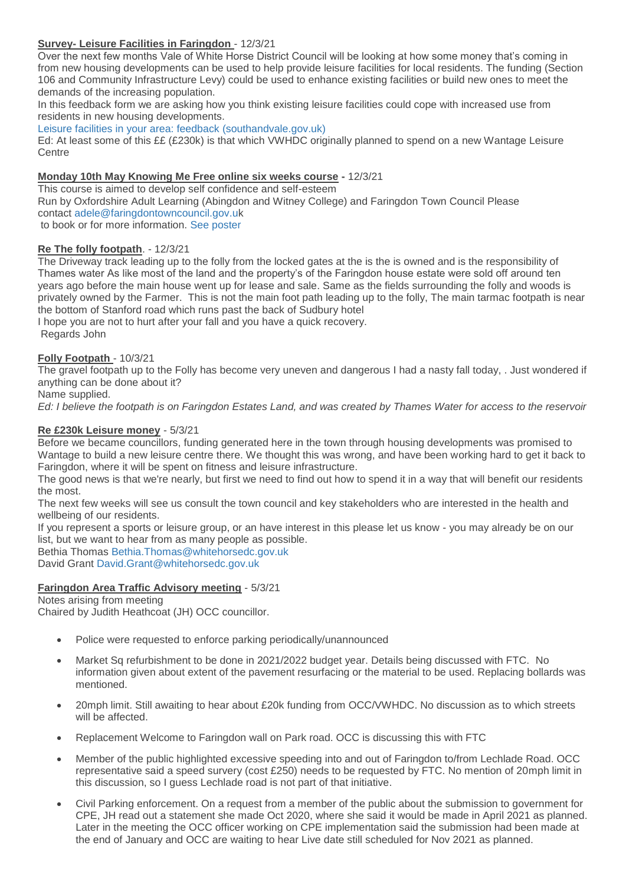## **Survey- Leisure Facilities in Faringdon** - 12/3/21

Over the next few months Vale of White Horse District Council will be looking at how some money that's coming in from new housing developments can be used to help provide leisure facilities for local residents. The funding (Section 106 and Community Infrastructure Levy) could be used to enhance existing facilities or build new ones to meet the demands of the increasing population.

In this feedback form we are asking how you think existing leisure facilities could cope with increased use from residents in new housing developments.

#### [Leisure facilities in your area: feedback \(southandvale.gov.uk\)](https://survey.southandvale.gov.uk/s/ValeLeisureFeedbackForm/)

Ed: At least some of this ££ (£230k) is that which VWHDC originally planned to spend on a new Wantage Leisure **Centre** 

#### **Monday 10th May Knowing Me Free online six weeks course -** 12/3/21

This course is aimed to develop self confidence and self-esteem Run by Oxfordshire Adult Learning (Abingdon and Witney College) and Faringdon Town Council Please contact [adele@faringdontowncouncil.gov.uk](mailto:adele@faringdontowncouncil.gov.uk) to book or for more information. [See poster](http://weebly-file/1/4/7/6/14765418/knowing_me_course.jpg)

#### **Re The folly footpath**. - 12/3/21

The Driveway track leading up to the folly from the locked gates at the is the is owned and is the responsibility of Thames water As like most of the land and the property's of the Faringdon house estate were sold off around ten years ago before the main house went up for lease and sale. Same as the fields surrounding the folly and woods is privately owned by the Farmer. This is not the main foot path leading up to the folly, The main tarmac footpath is near the bottom of Stanford road which runs past the back of Sudbury hotel

I hope you are not to hurt after your fall and you have a quick recovery. Regards John

## **Folly Footpath** - 10/3/21

The gravel footpath up to the Folly has become very uneven and dangerous I had a nasty fall today, . Just wondered if anything can be done about it?

Name supplied.

*Ed: I believe the footpath is on Faringdon Estates Land, and was created by Thames Water for access to the reservoir*

#### **Re £230k Leisure money** - 5/3/21

Before we became councillors, funding generated here in the town through housing developments was promised to Wantage to build a new leisure centre there. We thought this was wrong, and have been working hard to get it back to Faringdon, where it will be spent on fitness and leisure infrastructure.

The good news is that we're nearly, but first we need to find out how to spend it in a way that will benefit our residents the most.

The next few weeks will see us consult the town council and key stakeholders who are interested in the health and wellbeing of our residents.

If you represent a sports or leisure group, or an have interest in this please let us know - you may already be on our list, but we want to hear from as many people as possible.

Bethia Thomas [Bethia.Thomas@whitehorsedc.gov.uk](mailto:Bethia.Thomas@whitehorsedc.gov.uk)

David Grant [David.Grant@whitehorsedc.gov.uk](mailto:David%20Grant%20%3CDavid.Grant@whitehorsedc.gov.uk%3E)

### **Faringdon Area Traffic Advisory meeting** - 5/3/21

Notes arising from meeting Chaired by Judith Heathcoat (JH) OCC councillor.

- Police were requested to enforce parking periodically/unannounced
- Market Sq refurbishment to be done in 2021/2022 budget year. Details being discussed with FTC. No information given about extent of the pavement resurfacing or the material to be used. Replacing bollards was mentioned.
- 20mph limit. Still awaiting to hear about £20k funding from OCC/VWHDC. No discussion as to which streets will be affected.
- Replacement Welcome to Faringdon wall on Park road. OCC is discussing this with FTC
- Member of the public highlighted excessive speeding into and out of Faringdon to/from Lechlade Road. OCC representative said a speed survery (cost £250) needs to be requested by FTC. No mention of 20mph limit in this discussion, so I guess Lechlade road is not part of that initiative.
- Civil Parking enforcement. On a request from a member of the public about the submission to government for CPE, JH read out a statement she made Oct 2020, where she said it would be made in April 2021 as planned. Later in the meeting the OCC officer working on CPE implementation said the submission had been made at the end of January and OCC are waiting to hear Live date still scheduled for Nov 2021 as planned.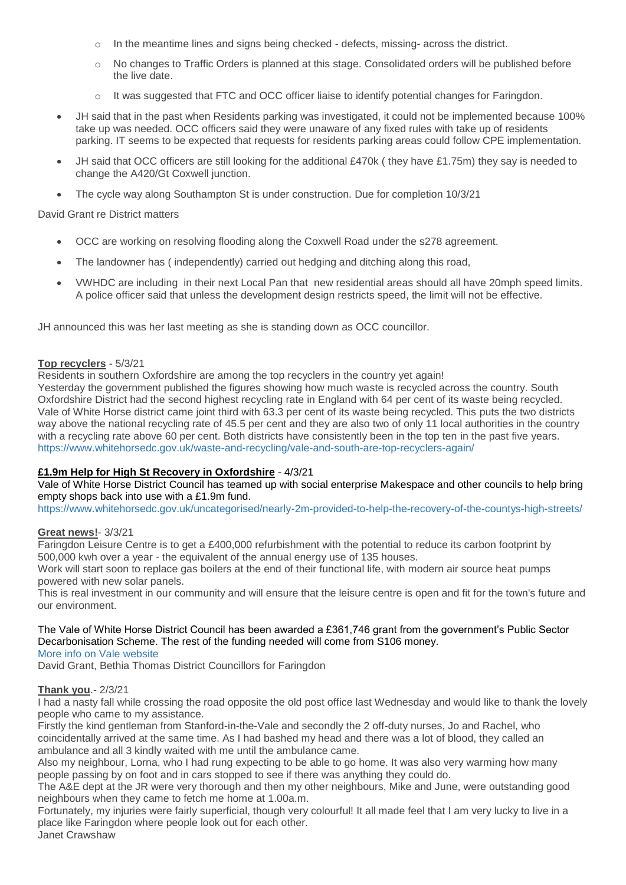- In the meantime lines and signs being checked defects, missing- across the district.
- o No changes to Traffic Orders is planned at this stage. Consolidated orders will be published before the live date.
- o It was suggested that FTC and OCC officer liaise to identify potential changes for Faringdon.
- JH said that in the past when Residents parking was investigated, it could not be implemented because 100% take up was needed. OCC officers said they were unaware of any fixed rules with take up of residents parking. IT seems to be expected that requests for residents parking areas could follow CPE implementation.
- JH said that OCC officers are still looking for the additional £470k ( they have £1.75m) they say is needed to change the A420/Gt Coxwell junction.
- The cycle way along Southampton St is under construction. Due for completion 10/3/21

David Grant re District matters

- OCC are working on resolving flooding along the Coxwell Road under the s278 agreement.
- The landowner has ( independently) carried out hedging and ditching along this road,
- VWHDC are including in their next Local Pan that new residential areas should all have 20mph speed limits. A police officer said that unless the development design restricts speed, the limit will not be effective.

JH announced this was her last meeting as she is standing down as OCC councillor.

### **Top recyclers** - 5/3/21

Residents in southern Oxfordshire are among the top recyclers in the country yet again!

Yesterday the government published the figures showing how much waste is recycled across the country. South Oxfordshire District had the second highest recycling rate in England with 64 per cent of its waste being recycled. Vale of White Horse district came joint third with 63.3 per cent of its waste being recycled. This puts the two districts way above the national recycling rate of 45.5 per cent and they are also two of only 11 local authorities in the country with a recycling rate above 60 per cent. Both districts have consistently been in the top ten in the past five years. <https://www.whitehorsedc.gov.uk/waste-and-recycling/vale-and-south-are-top-recyclers-again/>

# **£1.9m Help for High St Recovery in Oxfordshire** - 4/3/21

Vale of White Horse District Council has teamed up with social enterprise Makespace and other councils to help bring empty shops back into use with a £1.9m fund.

<https://www.whitehorsedc.gov.uk/uncategorised/nearly-2m-provided-to-help-the-recovery-of-the-countys-high-streets/>

### **Great news!**- 3/3/21

Faringdon Leisure Centre is to get a £400,000 refurbishment with the potential to reduce its carbon footprint by 500,000 kwh over a year - the equivalent of the annual energy use of 135 houses.

Work will start soon to replace gas boilers at the end of their functional life, with modern air source heat pumps powered with new solar panels.

This is real investment in our community and will ensure that the leisure centre is open and fit for the town's future and our environment.

The Vale of White Horse District Council has been awarded a £361,746 grant from the government's Public Sector Decarbonisation Scheme. The rest of the funding needed will come from S106 money.

[More info on Vale website](https://www.whitehorsedc.gov.uk/climate-emergency/funding-for-400k-faringdon-leisure-centre-refurbishment-helps-the-vale-of-white-horse-to-become-carbon-neutral/)

David Grant, Bethia Thomas District Councillors for Faringdon

# **Thank you**.- 2/3/21

I had a nasty fall while crossing the road opposite the old post office last Wednesday and would like to thank the lovely people who came to my assistance.

Firstly the kind gentleman from Stanford-in-the-Vale and secondly the 2 off-duty nurses, Jo and Rachel, who coincidentally arrived at the same time. As I had bashed my head and there was a lot of blood, they called an ambulance and all 3 kindly waited with me until the ambulance came.

Also my neighbour, Lorna, who I had rung expecting to be able to go home. It was also very warming how many people passing by on foot and in cars stopped to see if there was anything they could do.

The A&E dept at the JR were very thorough and then my other neighbours, Mike and June, were outstanding good neighbours when they came to fetch me home at 1.00a.m.

Fortunately, my injuries were fairly superficial, though very colourful! It all made feel that I am very lucky to live in a place like Faringdon where people look out for each other.

Janet Crawshaw